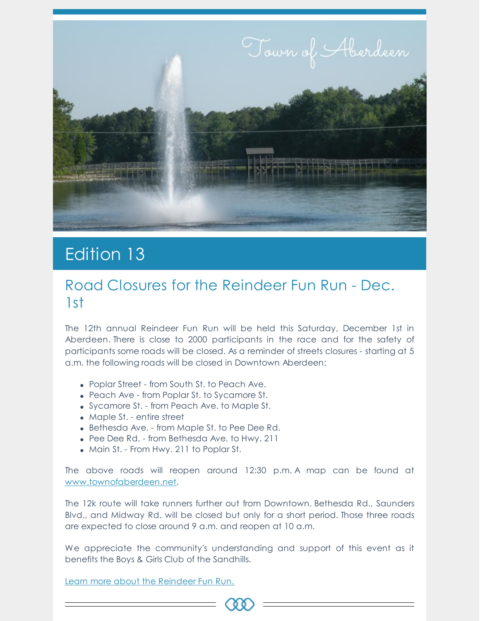

# Edition 13

#### Road Closures for the Reindeer Fun Run - Dec. 1st

The 12th annual Reindeer Fun Run will be held this Saturday, December 1st in Aberdeen. There is close to 2000 participants in the race and for the safety of participants some roads will be closed. As a reminder of streets closures - starting at 5 a.m. the following roads will be closed in Downtown Aberdeen:

- Poplar Street from South St. to Peach Ave.
- Peach Ave from Poplar St. to Sycamore St.
- Sycamore St. from Peach Ave. to Maple St.
- Maple St. entire street
- Bethesda Ave. from Maple St. to Pee Dee Rd.
- Pee Dee Rd. from Bethesda Ave. to Hwy. 211
- Main St. From Hwy. 211 to Poplar St.

The above roads will reopen around 12:30 p.m. A map can be found at [www.townofaberdeen.net](https://www.townofaberdeen.net/newsview.aspx?nid=5906).

The 12k route will take runners further out from Downtown. Bethesda Rd., Saunders Blvd., and Midway Rd. will be closed but only for a short period. Those three roads are expected to close around 9 a.m. and reopen at 10 a.m.

We appreciate the community's understanding and support of this event as it benefits the Boys & Girls Club of the Sandhills.

C O (

Learn more about the [Reindeer](https://reindeerfunrun.com/) Fun Run.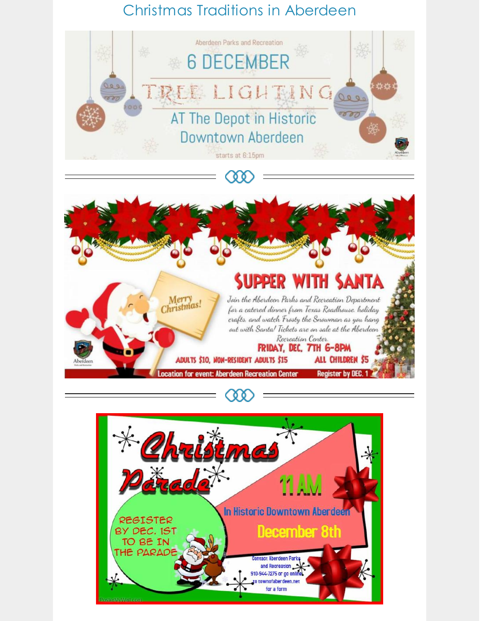## Christmas Traditions in Aberdeen







**CAA**